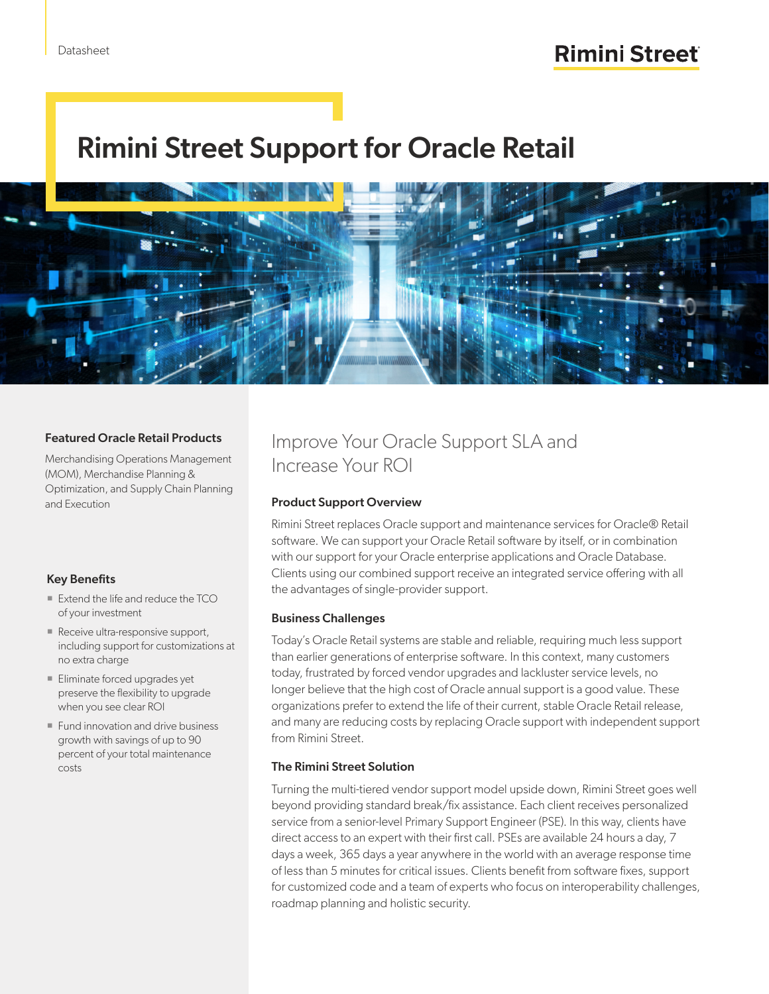# Rimini Street Support for Oracle Retail



#### Featured Oracle Retail Products

Merchandising Operations Management (MOM), Merchandise Planning & Optimization, and Supply Chain Planning and Execution

#### Key Benefits

- Extend the life and reduce the TCO of your investment
- $\blacksquare$  Receive ultra-responsive support, including support for customizations at no extra charge
- **Eliminate forced upgrades yet** preserve the flexibility to upgrade when you see clear ROI
- **Fund innovation and drive business** growth with savings of up to 90 percent of your total maintenance costs

### Improve Your Oracle Support SLA and Increase Your ROI

#### Product Support Overview

Rimini Street replaces Oracle support and maintenance services for Oracle® Retail software. We can support your Oracle Retail software by itself, or in combination with our support for your Oracle enterprise applications and Oracle Database. Clients using our combined support receive an integrated service offering with all the advantages of single-provider support.

#### Business Challenges

Today's Oracle Retail systems are stable and reliable, requiring much less support than earlier generations of enterprise software. In this context, many customers today, frustrated by forced vendor upgrades and lackluster service levels, no longer believe that the high cost of Oracle annual support is a good value. These organizations prefer to extend the life of their current, stable Oracle Retail release, and many are reducing costs by replacing Oracle support with independent support from Rimini Street.

#### The Rimini Street Solution

Turning the multi-tiered vendor support model upside down, Rimini Street goes well beyond providing standard break/fix assistance. Each client receives personalized service from a senior-level Primary Support Engineer (PSE). In this way, clients have direct access to an expert with their first call. PSEs are available 24 hours a day, 7 days a week, 365 days a year anywhere in the world with an average response time of less than 5 minutes for critical issues. Clients benefit from software fixes, support for customized code and a team of experts who focus on interoperability challenges, roadmap planning and holistic security.